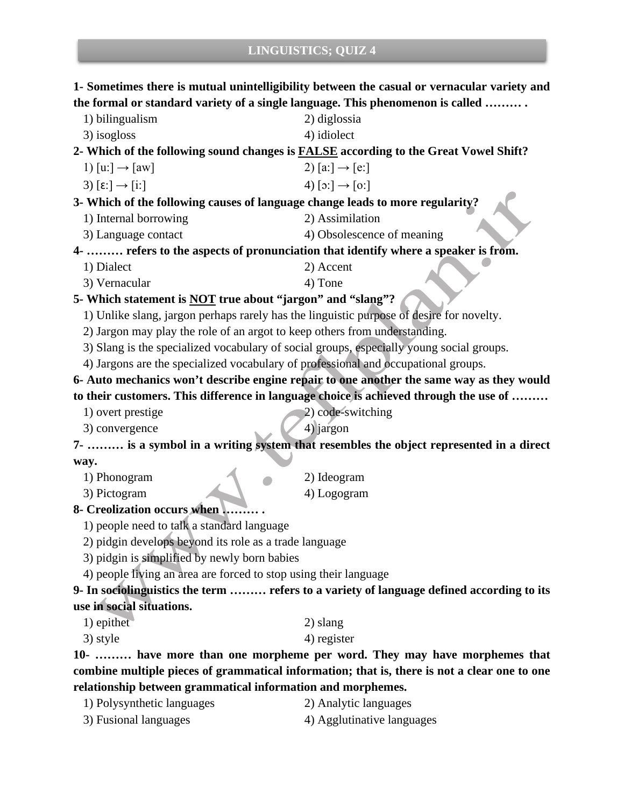**1- Sometimes there is mutual unintelligibility between the casual or vernacular variety and the formal or standard variety of a single language. This phenomenon is called ……… .**

- 1) bilingualism 2) diglossia
- $3)$  isogloss  $4)$  idiolect

**2- Which of the following sound changes is FALSE according to the Great Vowel Shift?**

- 1)  $[u:]\rightarrow [aw]$  2)  $[a:]\rightarrow [e:]$
- 3)  $[\epsilon:]\rightarrow[\iota:\iota]$  4)  $[\circ:\iota]\rightarrow[\iota:\iota]$

#### **3- Which of the following causes of language change leads to more regularity?**

- 1) Internal borrowing 2) Assimilation
- 3) Language contact 4) Obsolescence of meaning

**4- ……… refers to the aspects of pronunciation that identify where a speaker is from.**

- 1) Dialect 2) Accent
- 3) Vernacular 4) Tone

### **5- Which statement is NOT true about "jargon" and "slang"?**

1) Unlike slang, jargon perhaps rarely has the linguistic purpose of desire for novelty.

- 2) Jargon may play the role of an argot to keep others from understanding.
- 3) Slang is the specialized vocabulary of social groups, especially young social groups.
- 4) Jargons are the specialized vocabulary of professional and occupational groups.

## **6- Auto mechanics won't describe engine repair to one another the same way as they would to their customers. This difference in language choice is achieved through the use of ………**

- 1) overt prestige 2) code-switching
- $3)$  convergence  $4)$  jargon
- 

**7- ……… is a symbol in a writing system that resembles the object represented in a direct way.**

- 1) Phonogram 2) Ideogram
- 3) Pictogram 4) Logogram
- -
- **8- Creolization occurs when ……… .**
	- 1) people need to talk a standard language
	- 2) pidgin develops beyond its role as a trade language
	- 3) pidgin is simplified by newly born babies
	- 4) people living an area are forced to stop using their language

#### **9- In sociolinguistics the term ……… refers to a variety of language defined according to its use in social situations.**

- 1) epithet 2) slang
- $3)$  style  $4)$  register

**10- ……… have more than one morpheme per word. They may have morphemes that combine multiple pieces of grammatical information; that is, there is not a clear one to one relationship between grammatical information and morphemes.**

1) Polysynthetic languages 2) Analytic languages 3) Fusional languages 4) Agglutinative languages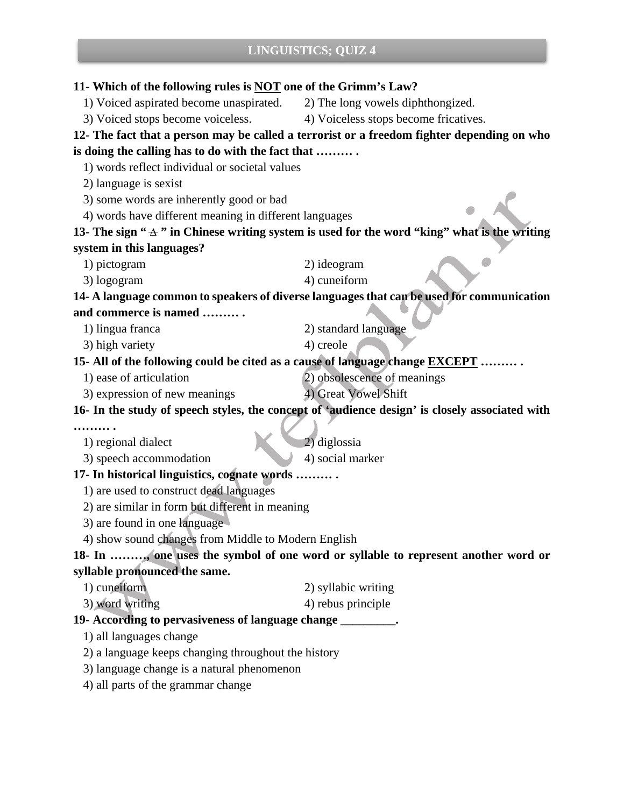| 11- Which of the following rules is <b>NOT</b> one of the Grimm's Law?                           |                                       |
|--------------------------------------------------------------------------------------------------|---------------------------------------|
| 1) Voiced aspirated become unaspirated.                                                          | 2) The long vowels diphthongized.     |
| 3) Voiced stops become voiceless.                                                                | 4) Voiceless stops become fricatives. |
| 12- The fact that a person may be called a terrorist or a freedom fighter depending on who       |                                       |
| is doing the calling has to do with the fact that                                                |                                       |
| 1) words reflect individual or societal values                                                   |                                       |
| 2) language is sexist                                                                            |                                       |
| 3) some words are inherently good or bad                                                         |                                       |
| 4) words have different meaning in different languages                                           |                                       |
| 13- The sign " $\pm$ " in Chinese writing system is used for the word "king" what is the writing |                                       |
| system in this languages?                                                                        |                                       |
| 1) pictogram                                                                                     | 2) ideogram                           |
| 3) logogram                                                                                      | 4) cuneiform                          |
| 14- A language common to speakers of diverse languages that can be used for communication        |                                       |
| and commerce is named                                                                            |                                       |
| 1) lingua franca                                                                                 | 2) standard language                  |
| 3) high variety                                                                                  | 4) creole                             |
| 15- All of the following could be cited as a cause of language change <b>EXCEPT</b>              |                                       |
| 1) ease of articulation                                                                          | 2) obsolescence of meanings           |
| 3) expression of new meanings                                                                    | 4) Great Vowel Shift                  |
| 16- In the study of speech styles, the concept of 'audience design' is closely associated with   |                                       |
| .                                                                                                |                                       |
| 1) regional dialect                                                                              | 2) diglossia                          |
| 3) speech accommodation                                                                          | 4) social marker                      |
| 17- In historical linguistics, cognate words                                                     |                                       |
| 1) are used to construct dead languages                                                          |                                       |
| 2) are similar in form but different in meaning                                                  |                                       |
| 3) are found in one language                                                                     |                                       |
| 4) show sound changes from Middle to Modern English                                              |                                       |
| 18- In , one uses the symbol of one word or syllable to represent another word or                |                                       |
| syllable pronounced the same.                                                                    |                                       |
| 1) cuneiform                                                                                     | 2) syllabic writing                   |
| 3) word writing                                                                                  | 4) rebus principle                    |
| 19- According to pervasiveness of language change ________.                                      |                                       |
| 1) all languages change                                                                          |                                       |
| 2) a language keeps changing throughout the history                                              |                                       |
| 3) language change is a natural phenomenon                                                       |                                       |
| 4) all parts of the grammar change                                                               |                                       |